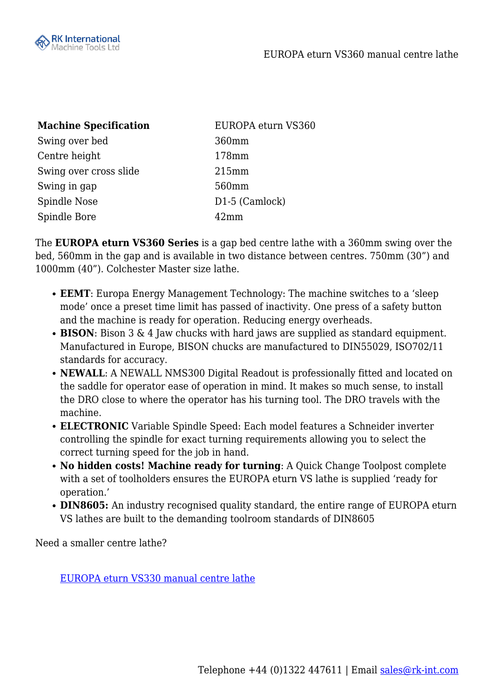

| <b>Machine Specification</b> | EUROPA eturn VS360 |
|------------------------------|--------------------|
| Swing over bed               | 360mm              |
| Centre height                | 178mm              |
| Swing over cross slide       | 215mm              |
| Swing in gap                 | 560mm              |
| Spindle Nose                 | D1-5 (Camlock)     |
| Spindle Bore                 | $42 \text{mm}$     |

The **EUROPA eturn VS360 Series** is a gap bed centre lathe with a 360mm swing over the bed, 560mm in the gap and is available in two distance between centres. 750mm (30") and 1000mm (40"). Colchester Master size lathe.

- **EEMT**: Europa Energy Management Technology: The machine switches to a 'sleep mode' once a preset time limit has passed of inactivity. One press of a safety button and the machine is ready for operation. Reducing energy overheads.
- **BISON**: Bison 3 & 4 Jaw chucks with hard jaws are supplied as standard equipment. Manufactured in Europe, BISON chucks are manufactured to DIN55029, ISO702/11 standards for accuracy.
- **NEWALL**: A NEWALL NMS300 Digital Readout is professionally fitted and located on the saddle for operator ease of operation in mind. It makes so much sense, to install the DRO close to where the operator has his turning tool. The DRO travels with the machine.
- **ELECTRONIC** Variable Spindle Speed: Each model features a Schneider inverter controlling the spindle for exact turning requirements allowing you to select the correct turning speed for the job in hand.
- **No hidden costs! Machine ready for turning**: A Quick Change Toolpost complete with a set of toolholders ensures the EUROPA eturn VS lathe is supplied 'ready for operation.'
- **DIN8605:** An industry recognised quality standard, the entire range of EUROPA eturn VS lathes are built to the demanding toolroom standards of DIN8605

Need a smaller centre lathe?

[EUROPA eturn VS330 manual centre lathe](https://www.rk-int.com/machine/europa-vs330/)